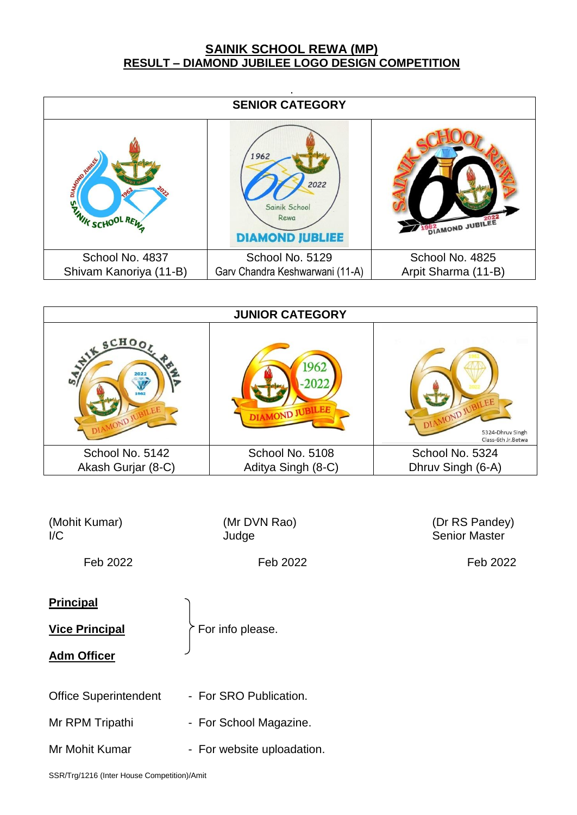## **SAINIK SCHOOL REWA (MP) RESULT – DIAMOND JUBILEE LOGO DESIGN COMPETITION**

|                                                 | <b>SENIOR CATEGORY</b>                                          |                               |  |  |  |  |  |  |
|-------------------------------------------------|-----------------------------------------------------------------|-------------------------------|--|--|--|--|--|--|
| DIAMS DRIVING<br>1964<br><b>WINK SCHOOL RES</b> | 1962<br>2022<br>Sainik School<br>Rewa<br><b>DIAMOND JUBLIEE</b> | <b>962</b><br>DIAMOND JUBILEE |  |  |  |  |  |  |
| School No. 4837                                 | School No. 5129                                                 | School No. 4825               |  |  |  |  |  |  |
| Shivam Kanoriya (11-B)                          | Garv Chandra Keshwarwani (11-A)                                 | Arpit Sharma (11-B)           |  |  |  |  |  |  |

| <b>JUNIOR CATEGORY</b>                                   |                             |                                                           |  |  |  |  |
|----------------------------------------------------------|-----------------------------|-----------------------------------------------------------|--|--|--|--|
| SCHO <sub>O</sub><br>2022<br>S<br>1962<br>VAMOND JUBILEA | 1962<br><b>MOND JUBILEE</b> | DIAMOND JUBILEE<br>5324-Dhruv Singh<br>Class-6th Jr.Betwa |  |  |  |  |
| School No. 5142                                          | School No. 5108             | School No. 5324                                           |  |  |  |  |
| Akash Gurjar (8-C)                                       | Aditya Singh (8-C)          | Dhruv Singh (6-A)                                         |  |  |  |  |

| (Mohit Kumar)<br>$\mathsf{I}/\mathsf{C}$                          | (Mr DVN Rao)<br>Judge                                                          | (Dr RS Pandey)<br><b>Senior Master</b> |
|-------------------------------------------------------------------|--------------------------------------------------------------------------------|----------------------------------------|
| Feb 2022                                                          | Feb 2022                                                                       | Feb 2022                               |
| <b>Principal</b><br><b>Vice Principal</b><br><b>Adm Officer</b>   | For info please.                                                               |                                        |
| <b>Office Superintendent</b><br>Mr RPM Tripathi<br>Mr Mohit Kumar | - For SRO Publication.<br>- For School Magazine.<br>- For website uploadation. |                                        |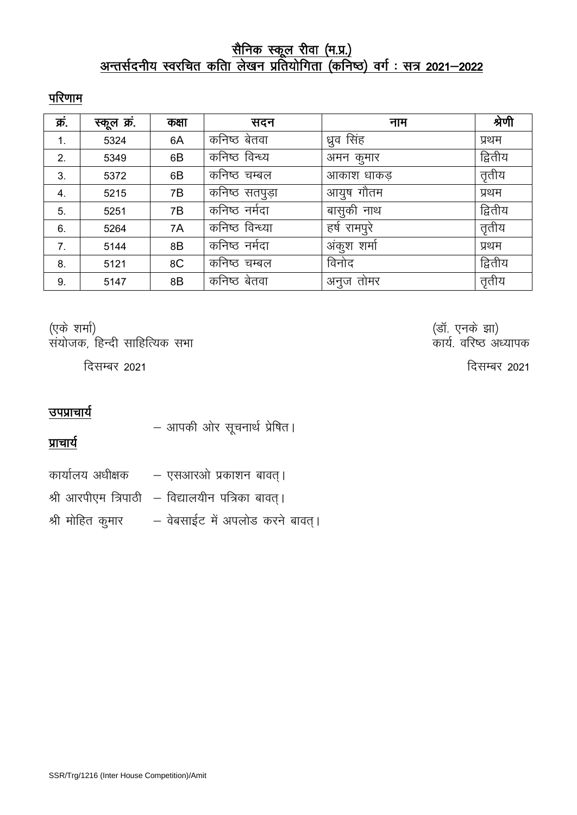## <u>सैनिक स्कूल रीवा (म.प्र.)</u> <u>अन्तर्सदनीय स्वरचित कतिा लेखन प्रतियोगिता (कनिष्ठ) वर्ग : सत्र 2021—2022 </u>

## परिणाम

| क्र. | स्कूल क्र | कक्षा | सदन             | नाम          | श्रेणी  |
|------|-----------|-------|-----------------|--------------|---------|
| 1.   | 5324      | 6A    | कनिष्ठ बेतवा    | ध्रुव सिंह   | प्रथम   |
| 2.   | 5349      | 6B    | कनिष्ठ विन्ध्य  | अमन कुमार    | द्वितीय |
| 3.   | 5372      | 6B    | कनिष्ठ चम्बल    | आकाश धाकड़   | तृतीय   |
| 4.   | 5215      | 7Β    | कनिष्ठ सतपुड़ा  | आयुष गौतम    | प्रथम   |
| 5.   | 5251      | 7B    | कनिष्ठ नमेदा    | बासुकी नाथ   | द्वितीय |
| 6.   | 5264      | 7A    | कनिष्ठ विन्ध्या | हर्ष रामपुरे | तृतीय   |
| 7.   | 5144      | 8B    | कनिष्ठ नर्मदा   | अंकुश शर्मा  | प्रथम   |
| 8.   | 5121      | 8C    | कनिष्ठ चम्बल    | विनोद        | द्वितीय |
| 9.   | 5147      | 8B    | कनिष्ठ बेतवा    | अनुज तोमर    | तृतीय   |

¼,d s 'kekZ½ ¼MkW- ,uds >k½ संयोजक, हिन्दी साहित्यिक सभा

## उपप्राचार्य

- आपकी ओर सूचनार्थ प्रेषित।

प्राचार्य

कार्यालय अधीक्षक  $-$  एसआरओ प्रकाशन बावत् ।

श्री आरपीएम त्रिपाठी  $-$  विद्यालयीन पत्रिका बावत् ।

श्री मोहित कुमार - वेबसाईट में अपलोड करने बावत् ।

दिसम्बर 2021  $\sqrt{2}$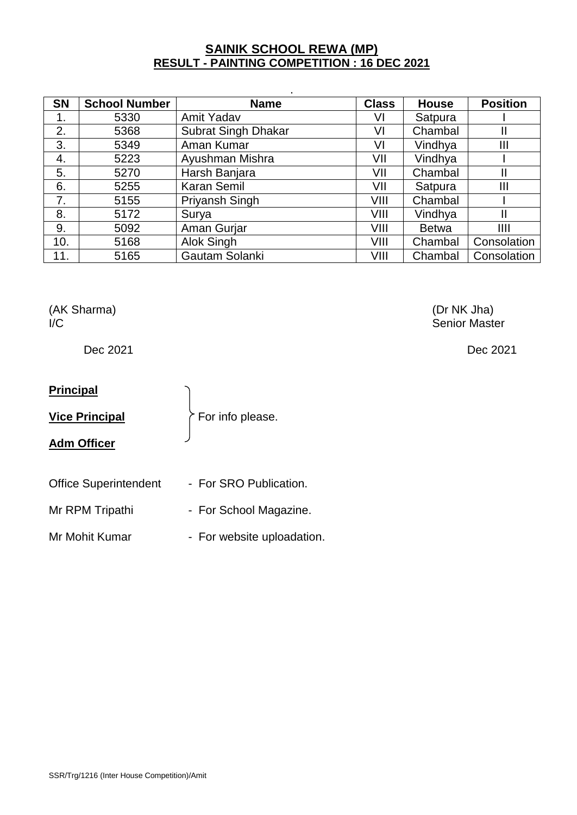## **SAINIK SCHOOL REWA (MP) RESULT - PAINTING COMPETITION : 16 DEC 2021**

| <b>SN</b> | <b>School Number</b> | <b>Name</b>         | <b>Class</b> | <b>House</b> | <b>Position</b> |
|-----------|----------------------|---------------------|--------------|--------------|-----------------|
| 1.        | 5330                 | Amit Yadav          | VI           | Satpura      |                 |
| 2.        | 5368                 | Subrat Singh Dhakar | VI           | Chambal      | Ш               |
| 3.        | 5349                 | Aman Kumar          | VI           | Vindhya      | Ш               |
| 4.        | 5223                 | Ayushman Mishra     | VII          | Vindhya      |                 |
| 5.        | 5270                 | Harsh Banjara       | VII          | Chambal      | Ш               |
| 6.        | 5255                 | <b>Karan Semil</b>  | VII          | Satpura      | Ш               |
| 7.        | 5155                 | Priyansh Singh      | VIII         | Chambal      |                 |
| 8.        | 5172                 | Surya               | VIII         | Vindhya      | Ш               |
| 9.        | 5092                 | Aman Gurjar         | VIII         | <b>Betwa</b> | III             |
| 10.       | 5168                 | Alok Singh          | VIII         | Chambal      | Consolation     |
| 11.       | 5165                 | Gautam Solanki      | VIII         | Chambal      | Consolation     |

(AK Sharma) (Dr NK Jha)

## **Principal**

**Vice Principal**  $\left\{ \vphantom{\label{1}1} \vphantom{\int_{0}^{1}}\smash{\hat{C}}$  For info please.

## **Adm Officer**

Office Superintendent - For SRO Publication.

Mr RPM Tripathi - For School Magazine.

Mr Mohit Kumar - For website uploadation.

I/C Senior Master

Dec 2021 Dec 2021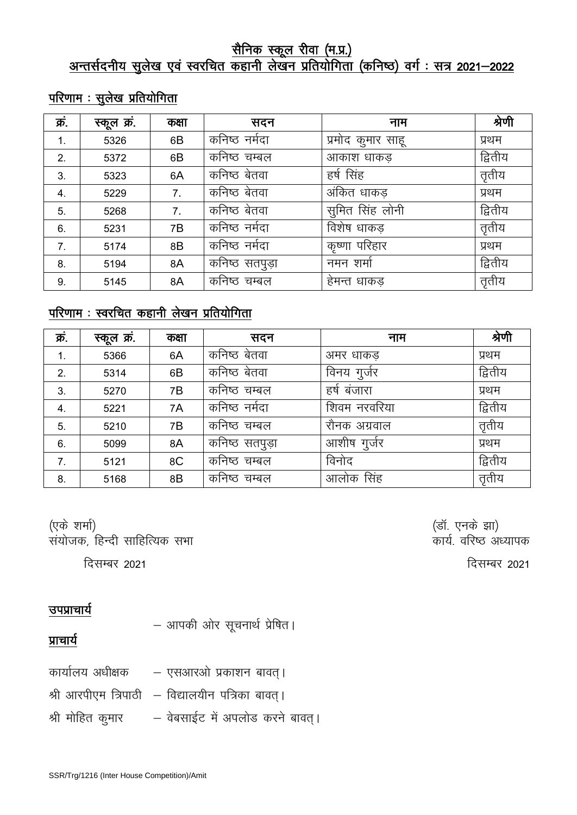## <u>सैनिक स्कूल रीवा (म.प्र.)</u> <u>अन्तर्सदनीय सुलेख एवं स्वरचित कहानी लेखन प्रतियोगिता (कनिष्ठ) वर्ग : सत्र 2021—2022 </u>

## $\frac{1}{2}$ <u>परिणाम : सुलेख प्रतियोगिता</u>

| क्र | स्कूल क्र | कक्षा | सदन             | नाम               | श्रेणी  |
|-----|-----------|-------|-----------------|-------------------|---------|
| 1.  | 5326      | 6B    | कनिष्ठ नर्मदा   | प्रमोद कुमार साहू | प्रथम   |
| 2.  | 5372      | 6B    | कनिष्ठ चम्बल    | आकाश धाकड़        | द्वितीय |
| 3.  | 5323      | 6A    | कनिष्ठ बेतवा    | हर्ष सिंह         | तृतीय   |
| 4.  | 5229      | 7.    | कनिष्ठ बेतवा    | अंकित धाकड़       | प्रथम   |
| 5.  | 5268      | 7.    | कनिष्ठ बेतवा    | सूमित सिंह लोनी   | द्वितीय |
| 6.  | 5231      | 7Β    | कनिष्ठ नर्मदा   | विशेष धाकड़       | तृतीय   |
| 7.  | 5174      | 8B    | कनिष्ठ नर्मदा   | कृष्णा परिहार     | प्रथम   |
| 8.  | 5194      | 8A    | कनिष्ठ सतपुड़ा  | नमन शर्मा         | द्वितीय |
| 9.  | 5145      | 8A    | कनिष्ठ<br>चम्बल | हेमन्त धाकड       | तृतीय   |

## परिणाम : स्वरचित कहानी लेखन प्रतियोगिता

| क्रं. | स्कूल क्र. | कक्षा | सदन            | नाम          | श्रेणी  |
|-------|------------|-------|----------------|--------------|---------|
| 1.    | 5366       | 6A    | कनिष्ठ बेतवा   | अमर धाकड़    | प्रथम   |
| 2.    | 5314       | 6B    | कनिष्ठ बेतवा   | विनय गुर्जर  | द्वितीय |
| 3.    | 5270       | 7B    | कनिष्ठ चम्बल   | हर्ष बंजारा  | प्रथम   |
| 4.    | 5221       | 7A    | कनिष्ठ नर्मदा  | शिवम नरवरिया | द्वितीय |
| 5.    | 5210       | 7B    | कनिष्ठ चम्बल   | रौनक अग्रवाल | तृतीय   |
| 6.    | 5099       | 8A    | कनिष्ठ सतपुड़ा | आशीष गुर्जर  | प्रथम   |
| 7.    | 5121       | 8C    | कनिष्ठ चम्बल   | विनोद        | द्वितीय |
| 8.    | 5168       | 8B    | कनिष्ठ चम्बल   | आलोक सिंह    | तृतीय   |

¼,d s 'kekZ½ ¼MkW- ,uds >k½  $\overline{R}$ संयोजक, हिन्दी साहित्यिक सभा

दिसम्बर 2021  $\sqrt{2}$ ित्तम्बर 2021  $\sqrt{2}$ 

## उपप्राचार्य

प्राचार्य

| – आपकी ओर सूचनार्थ प्रेषित। |
|-----------------------------|
|-----------------------------|

- कार्यालय अधीक्षक  $-$  एसआरओ प्रकाशन बावत् । श्री आरपीएम त्रिपाठी  $-$  विद्यालयीन पत्रिका बावत् ।
- श्री मोहित कुमार वेबसाईट में अपलोड करने बावत् ।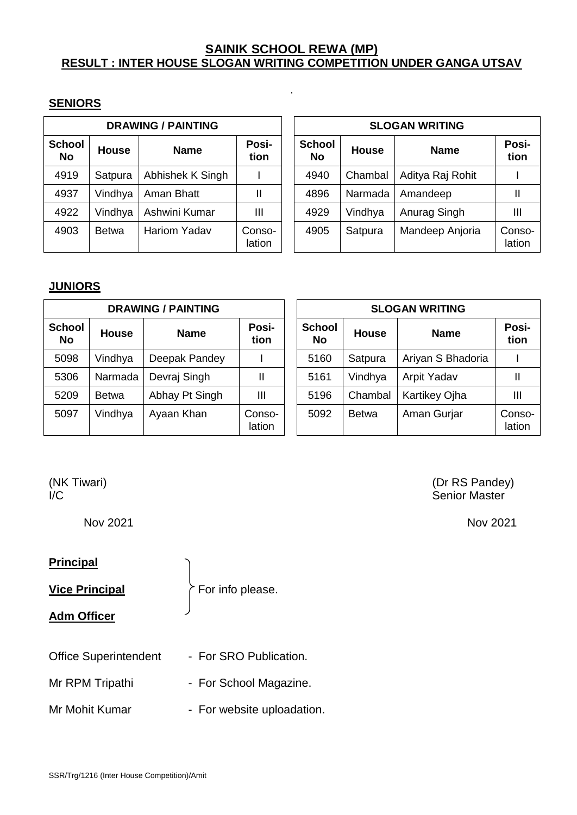## **SAINIK SCHOOL REWA (MP) RESULT : INTER HOUSE SLOGAN WRITING COMPETITION UNDER GANGA UTSAV**

.

### **SENIORS**

| <b>DRAWING / PAINTING</b> |              |                     |                  |  |                            |              | <b>SLOGAN WRITING</b> |             |
|---------------------------|--------------|---------------------|------------------|--|----------------------------|--------------|-----------------------|-------------|
| <b>School</b><br>No       | <b>House</b> | <b>Name</b>         | Posi-<br>tion    |  | <b>School</b><br><b>No</b> | <b>House</b> | <b>Name</b>           | Po<br>tic   |
| 4919                      | Satpura      | Abhishek K Singh    |                  |  | 4940                       | Chambal      | Aditya Raj Rohit      |             |
| 4937                      | Vindhya      | Aman Bhatt          |                  |  | 4896                       | Narmada      | Amandeep              |             |
| 4922                      | Vindhya      | Ashwini Kumar       | Ш                |  | 4929                       | Vindhya      | Anurag Singh          | Ш           |
| 4903                      | <b>Betwa</b> | <b>Hariom Yadav</b> | Conso-<br>lation |  | 4905                       | Satpura      | Mandeep Anjoria       | Cor<br>lati |

| <b>DRAWING / PAINTING</b> |              |                     |                  |  | <b>SLOGAN WRITING</b> |              |                  |                  |  |
|---------------------------|--------------|---------------------|------------------|--|-----------------------|--------------|------------------|------------------|--|
| chool<br><b>No</b>        | <b>House</b> | <b>Name</b>         | Posi-<br>tion    |  | <b>School</b><br>No.  | <b>House</b> | <b>Name</b>      | Posi-<br>tion    |  |
| 4919                      | Satpura      | Abhishek K Singh    |                  |  | 4940                  | Chambal      | Aditya Raj Rohit |                  |  |
| 4937                      | Vindhya      | Aman Bhatt          | Ш                |  | 4896                  | Narmada      | Amandeep         |                  |  |
| 4922                      | Vindhya      | Ashwini Kumar       | Ш                |  | 4929                  | Vindhya      | Anurag Singh     |                  |  |
| 4903                      | <b>Betwa</b> | <b>Hariom Yadav</b> | Conso-<br>lation |  | 4905                  | Satpura      | Mandeep Anjoria  | Conso-<br>lation |  |

## **JUNIORS**

| <b>DRAWING / PAINTING</b> |              |                |                  |  |                      |              | <b>SLOGAN WRITING</b> |               |
|---------------------------|--------------|----------------|------------------|--|----------------------|--------------|-----------------------|---------------|
| <b>School</b><br>No       | <b>House</b> | <b>Name</b>    | Posi-<br>tion    |  | <b>School</b><br>No. | <b>House</b> | <b>Name</b>           | Pos<br>tio    |
| 5098                      | Vindhya      | Deepak Pandey  |                  |  | 5160                 | Satpura      | Ariyan S Bhadoria     |               |
| 5306                      | Narmada      | Devraj Singh   | Ш                |  | 5161                 | Vindhya      | Arpit Yadav           | $\mathbf{H}$  |
| 5209                      | Betwa        | Abhay Pt Singh | Ш                |  | 5196                 | Chambal      | <b>Kartikey Ojha</b>  | Ш             |
| 5097                      | Vindhya      | Ayaan Khan     | Conso-<br>lation |  | 5092                 | <b>Betwa</b> | Aman Gurjar           | Con:<br>latio |

| <b>SLOGAN WRITING</b> |              |                    |                  |  |  |  |  |  |
|-----------------------|--------------|--------------------|------------------|--|--|--|--|--|
| <b>School</b><br>No   | <b>House</b> | <b>Name</b>        | Posi-<br>tion    |  |  |  |  |  |
| 5160                  | Satpura      | Ariyan S Bhadoria  |                  |  |  |  |  |  |
| 5161                  | Vindhya      | <b>Arpit Yadav</b> | Ш                |  |  |  |  |  |
| 5196                  | Chambal      | Kartikey Ojha      | Ш                |  |  |  |  |  |
| 5092                  | Betwa        | Aman Gurjar        | Conso-<br>lation |  |  |  |  |  |

## **Principal**

**Vice Principal**  $\uparrow$  For info please.

**Adm Officer**

- Office Superintendent For SRO Publication.
- Mr RPM Tripathi For School Magazine.
- Mr Mohit Kumar For website uploadation.

(NK Tiwari) (Dr RS Pandey) I/C Senior Master

Nov 2021 Nov 2021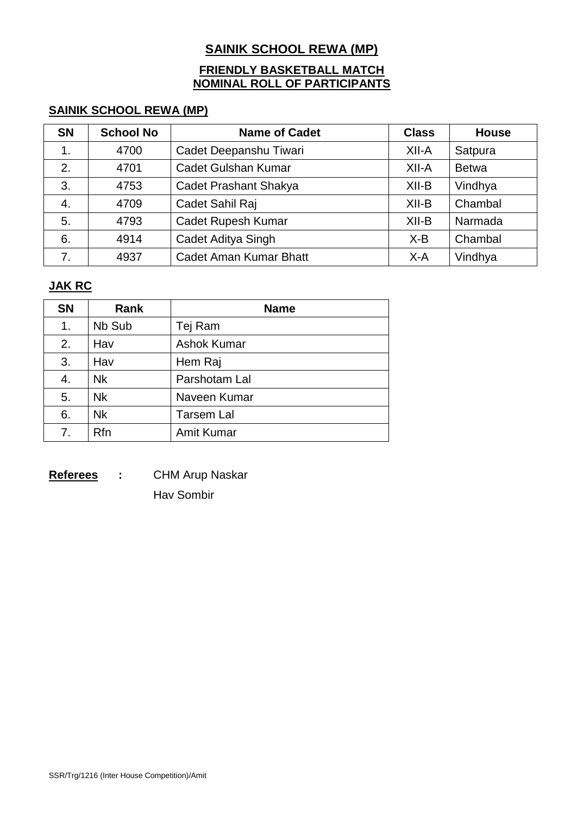## **SAINIK SCHOOL REWA (MP)**

## **FRIENDLY BASKETBALL MATCH NOMINAL ROLL OF PARTICIPANTS**

## **SAINIK SCHOOL REWA (MP)**

| <b>SN</b>     | <b>School No</b> | <b>Name of Cadet</b>          | <b>Class</b> | <b>House</b> |
|---------------|------------------|-------------------------------|--------------|--------------|
| $\mathbf 1$ . | 4700             | Cadet Deepanshu Tiwari        | $XII-A$      | Satpura      |
| 2.            | 4701             | <b>Cadet Gulshan Kumar</b>    | $XII-A$      | <b>Betwa</b> |
| 3.            | 4753             | <b>Cadet Prashant Shakya</b>  | $XII-B$      | Vindhya      |
| 4.            | 4709             | Cadet Sahil Raj               | $XII-B$      | Chambal      |
| 5.            | 4793             | <b>Cadet Rupesh Kumar</b>     | $XII-B$      | Narmada      |
| 6.            | 4914             | Cadet Aditya Singh            | $X-B$        | Chambal      |
|               | 4937             | <b>Cadet Aman Kumar Bhatt</b> | $X-A$        | Vindhya      |

## **JAK RC**

| <b>SN</b>      | <b>Rank</b> | <b>Name</b>        |
|----------------|-------------|--------------------|
| 1.             | Nb Sub      | Tej Ram            |
| 2.             | Hav         | <b>Ashok Kumar</b> |
| 3.             | Hav         | Hem Raj            |
| 4.             | <b>Nk</b>   | Parshotam Lal      |
| 5.             | <b>Nk</b>   | Naveen Kumar       |
| 6.             | <b>Nk</b>   | <b>Tarsem Lal</b>  |
| 7 <sub>1</sub> | <b>Rfn</b>  | <b>Amit Kumar</b>  |

**Referees :** CHM Arup Naskar Hav Sombir

SSR/Trg/1216 (Inter House Competition)/Amit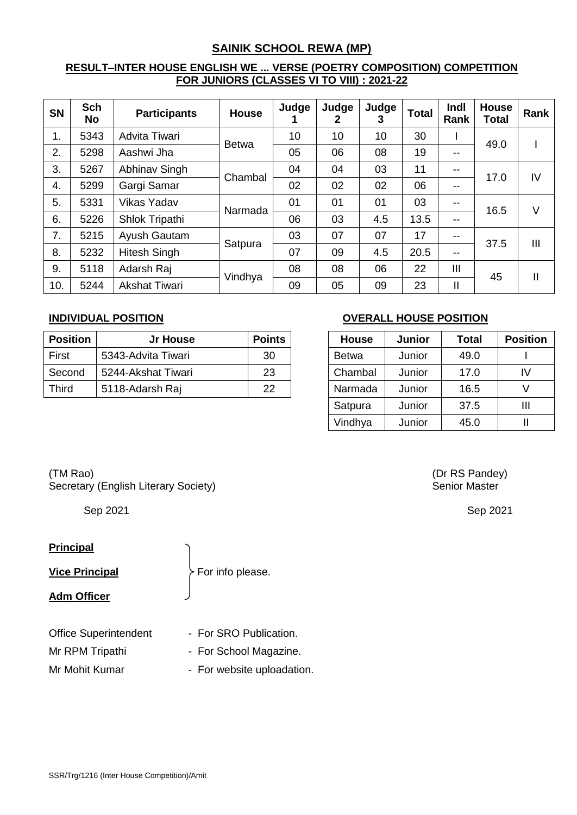## **SAINIK SCHOOL REWA (MP)**

### **RESULT–INTER HOUSE ENGLISH WE ... VERSE (POETRY COMPOSITION) COMPETITION FOR JUNIORS (CLASSES VI TO VIII) : 2021-22**

| <b>SN</b> | <b>Sch</b><br>No | <b>Participants</b>  | <b>House</b> | Judge | Judge<br>2 | Judge<br>3 | <b>Total</b> | Indl<br><b>Rank</b> | House<br><b>Total</b> | Rank         |
|-----------|------------------|----------------------|--------------|-------|------------|------------|--------------|---------------------|-----------------------|--------------|
| 1.        | 5343             | Advita Tiwari        | <b>Betwa</b> | 10    | 10         | 10         | 30           |                     | 49.0                  |              |
| 2.        | 5298             | Aashwi Jha           |              | 05    | 06         | 08         | 19           | $- -$               |                       |              |
| 3.        | 5267             | Abhinav Singh        | Chambal      | 04    | 04         | 03         | 11           | $- -$               | 17.0                  | IV           |
| 4.        | 5299             | Gargi Samar          |              | 02    | 02         | 02         | 06           | $- -$               |                       |              |
| 5.        | 5331             | <b>Vikas Yadav</b>   |              | 01    | 01         | 01         | 03           | $- -$               |                       | $\vee$       |
| 6.        | 5226             | Shlok Tripathi       | Narmada      | 06    | 03         | 4.5        | 13.5         | $- -$               | 16.5                  |              |
| 7.        | 5215             | Ayush Gautam         |              | 03    | 07         | 07         | 17           | $- -$               |                       |              |
| 8.        | 5232             | <b>Hitesh Singh</b>  | Satpura      | 07    | 09         | 4.5        | 20.5         | $- -$               | 37.5                  | III          |
| 9.        | 5118             | Adarsh Raj           |              | 08    | 08         | 06         | 22           | Ш                   |                       |              |
| 10.       | 5244             | <b>Akshat Tiwari</b> | Vindhya      | 09    | 05         | 09         | 23           | $\mathbf{I}$        | 45                    | $\mathbf{I}$ |

| <b>Position</b> | Jr House           | <b>Points</b> | <b>House</b> | Junior | Total | <b>Position</b> |
|-----------------|--------------------|---------------|--------------|--------|-------|-----------------|
| First           | 5343-Advita Tiwari | 30            | <b>Betwa</b> | Junior | 49.0  |                 |
| Second          | 5244-Akshat Tiwari | 23            | Chambal      | Junior | 17.0  | IV              |
| <b>Third</b>    | 5118-Adarsh Raj    | 22            | Narmada      | Junior | 16.5  |                 |

## **INDIVIDUAL POSITION OVERALL HOUSE POSITION**

| <b>House</b> | <b>Junior</b> | <b>Total</b> | <b>Position</b> |
|--------------|---------------|--------------|-----------------|
| <b>Betwa</b> | Junior        | 49.0         |                 |
| Chambal      | Junior        | 17.0         | W               |
| Narmada      | Junior        | 16.5         |                 |
| Satpura      | Junior        | 37.5         | ш               |
| Vindhya      | Junior        | 45.0         |                 |

## (TM Rao) (Dr RS Pandey) Secretary (English Literary Society) Secretary of Senior Master

## **Principal**

**Vice Principal** For info please.

### **Adm Officer**

- Office Superintendent For SRO Publication.
- Mr RPM Tripathi For School Magazine.
- Mr Mohit Kumar For website uploadation.

Sep 2021 Sep 2021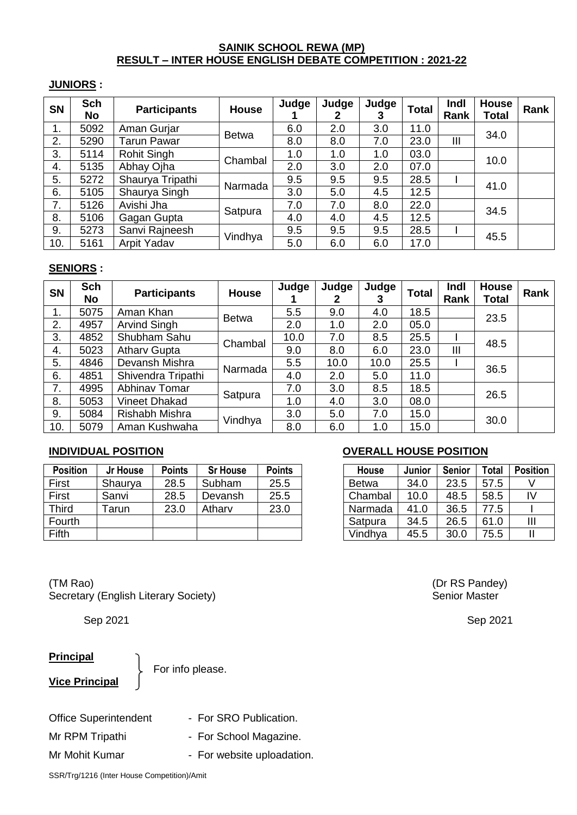### **SAINIK SCHOOL REWA (MP) RESULT – INTER HOUSE ENGLISH DEBATE COMPETITION : 2021-22**

#### **JUNIORS :**

| <b>SN</b>     | <b>Sch</b><br><b>No</b> | <b>Participants</b> | <b>House</b> | Judge | Judge<br>2 | Judge | <b>Total</b> | Indl<br>Rank | <b>House</b><br><b>Total</b> | Rank |
|---------------|-------------------------|---------------------|--------------|-------|------------|-------|--------------|--------------|------------------------------|------|
| $\mathbf 1$ . | 5092                    | Aman Gurjar         | <b>Betwa</b> | 6.0   | 2.0        | 3.0   | 11.0         |              | 34.0                         |      |
| 2.            | 5290                    | <b>Tarun Pawar</b>  |              | 8.0   | 8.0        | 7.0   | 23.0         | Ш            |                              |      |
| 3.            | 5114                    | Rohit Singh         | Chambal      | 1.0   | 1.0        | 1.0   | 03.0         |              | 10.0                         |      |
| 4.            | 5135                    | Abhay Ojha          |              | 2.0   | 3.0        | 2.0   | 07.0         |              |                              |      |
| 5.            | 5272                    | Shaurya Tripathi    | Narmada      | 9.5   | 9.5        | 9.5   | 28.5         |              | 41.0                         |      |
| 6.            | 5105                    | Shaurya Singh       |              | 3.0   | 5.0        | 4.5   | 12.5         |              |                              |      |
| 7.            | 5126                    | Avishi Jha          |              | 7.0   | 7.0        | 8.0   | 22.0         |              | 34.5                         |      |
| 8.            | 5106                    | Gagan Gupta         | Satpura      | 4.0   | 4.0        | 4.5   | 12.5         |              |                              |      |
| 9.            | 5273                    | Sanvi Rajneesh      |              | 9.5   | 9.5        | 9.5   | 28.5         |              | 45.5                         |      |
| 10.           | 5161                    | Arpit Yadav         | Vindhya      | 5.0   | 6.0        | 6.0   | 17.0         |              |                              |      |

#### **SENIORS :**

| <b>SN</b> | <b>Sch</b><br>No. | <b>Participants</b> | <b>House</b> | Judge | Judge | Judge | <b>Total</b> | Indl<br>Rank | House<br><b>Total</b> | Rank |
|-----------|-------------------|---------------------|--------------|-------|-------|-------|--------------|--------------|-----------------------|------|
| 1.        | 5075              | Aman Khan           | <b>Betwa</b> | 5.5   | 9.0   | 4.0   | 18.5         |              | 23.5                  |      |
| 2.        | 4957              | Arvind Singh        |              | 2.0   | 1.0   | 2.0   | 05.0         |              |                       |      |
| 3.        | 4852              | Shubham Sahu        | Chambal      | 10.0  | 7.0   | 8.5   | 25.5         |              | 48.5                  |      |
| 4.        | 5023              | <b>Atharv Gupta</b> |              | 9.0   | 8.0   | 6.0   | 23.0         | Ш            |                       |      |
| 5.        | 4846              | Devansh Mishra      | Narmada      | 5.5   | 10.0  | 10.0  | 25.5         |              | 36.5                  |      |
| 6.        | 4851              | Shivendra Tripathi  |              | 4.0   | 2.0   | 5.0   | 11.0         |              |                       |      |
| 7.        | 4995              | Abhinav Tomar       |              | 7.0   | 3.0   | 8.5   | 18.5         |              | 26.5                  |      |
| 8.        | 5053              | Vineet Dhakad       | Satpura      | 1.0   | 4.0   | 3.0   | 08.0         |              |                       |      |
| 9.        | 5084              | Rishabh Mishra      |              | 3.0   | 5.0   | 7.0   | 15.0         |              | 30.0                  |      |
| 10.       | 5079              | Aman Kushwaha       | Vindhya      | 8.0   | 6.0   | 1.0   | 15.0         |              |                       |      |

| <b>Position</b> | Jr House | <b>Points</b> | <b>Sr House</b> | <b>Points</b> | <b>House</b> | Junior | <b>Senior</b> | <b>Total</b> | <b>Position</b> |
|-----------------|----------|---------------|-----------------|---------------|--------------|--------|---------------|--------------|-----------------|
| First           | Shaurya  | 28.5          | Subham          | 25.5          | <b>Betwa</b> | 34.0   | 23.5          | 57.5         |                 |
| First           | Sanvi    | 28.5          | Devansh         | 25.5          | Chambal      | 10.0   | 48.5          | 58.5         | I٧              |
| Third           | Tarun    | 23.0          | Atharv          | 23.0          | Narmada      | 41.0   | 36.5          | 77.5         |                 |
| Fourth          |          |               |                 |               | Satpura      | 34.5   | 26.5          | 61.0         | $\mathsf{III}$  |
| Fifth           |          |               |                 |               | Vindhya      | 45.5   | 30.0          | 75.5         |                 |

(TM Rao) (Dr RS Pandey) Secretary (English Literary Society) Secretary of Senior Master

### **Principal**

For info please.

**Vice Principal**

Office Superintendent - For SRO Publication.

- 
- 
- Mr RPM Tripathi For School Magazine.
- Mr Mohit Kumar For website uploadation.

### **INDIVIDUAL POSITION OVERALL HOUSE POSITION**

| House        | Junior | <b>Senior</b> | <b>Total</b> | <b>Position</b> |
|--------------|--------|---------------|--------------|-----------------|
| <b>Betwa</b> | 34.0   | 23.5          | 57.5         |                 |
| Chambal      | 10.0   | 48.5          | 58.5         | I٧              |
| Narmada      | 41.0   | 36.5          | 77.5         |                 |
| Satpura      | 34.5   | 26.5          | 61.0         | Ш               |
| Vindhya      | 45.5   | 30.0          | 75.5         |                 |

Sep 2021 Sep 2021

SSR/Trg/1216 (Inter House Competition)/Amit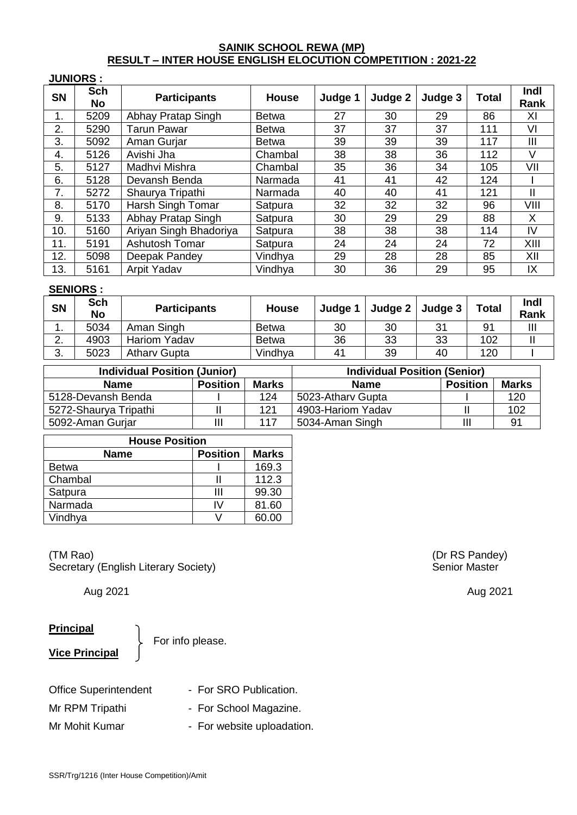### **SAINIK SCHOOL REWA (MP) RESULT – INTER HOUSE ENGLISH ELOCUTION COMPETITION : 2021-22**

#### **JUNIORS :**

| <b>SN</b> | <b>Sch</b><br>No | <b>Participants</b>    | <b>House</b> | Judge 1 | Judge 2 | Judge 3 | <b>Total</b> | Indl<br>Rank |
|-----------|------------------|------------------------|--------------|---------|---------|---------|--------------|--------------|
| 1.        | 5209             | Abhay Pratap Singh     | <b>Betwa</b> | 27      | 30      | 29      | 86           | XI           |
| 2.        | 5290             | Tarun Pawar            | <b>Betwa</b> | 37      | 37      | 37      | 111          | VI           |
| 3.        | 5092             | Aman Gurjar            | <b>Betwa</b> | 39      | 39      | 39      | 117          | Ш            |
| 4.        | 5126             | Avishi Jha             | Chambal      | 38      | 38      | 36      | 112          | $\vee$       |
| 5.        | 5127             | Madhvi Mishra          | Chambal      | 35      | 36      | 34      | 105          | VII          |
| 6.        | 5128             | Devansh Benda          | Narmada      | 41      | 41      | 42      | 124          |              |
| 7.        | 5272             | Shaurya Tripathi       | Narmada      | 40      | 40      | 41      | 121          | $\mathbf{I}$ |
| 8.        | 5170             | Harsh Singh Tomar      | Satpura      | 32      | 32      | 32      | 96           | VIII         |
| 9.        | 5133             | Abhay Pratap Singh     | Satpura      | 30      | 29      | 29      | 88           | X            |
| 10.       | 5160             | Ariyan Singh Bhadoriya | Satpura      | 38      | 38      | 38      | 114          | IV           |
| 11.       | 5191             | <b>Ashutosh Tomar</b>  | Satpura      | 24      | 24      | 24      | 72           | XIII         |
| 12.       | 5098             | Deepak Pandey          | Vindhya      | 29      | 28      | 28      | 85           | XII          |
| 13.       | 5161             | Arpit Yadav            | Vindhya      | 30      | 36      | 29      | 95           | IX           |

#### **SENIORS :**

| <b>SN</b> | <b>Sch</b><br>No | <b>Participants</b> | <b>House</b> | Judge 1        | Judge $2 \mid$ Judge 3 |    | <b>Total</b>   | Indl<br>Rank |
|-----------|------------------|---------------------|--------------|----------------|------------------------|----|----------------|--------------|
| . .       | 5034             | Aman Singh          | <b>Betwa</b> | 30             | 30                     | 31 | 9 <sub>1</sub> | Ш            |
| <u>.</u>  | 4903             | <b>Hariom Yadav</b> | <b>Betwa</b> | 36             | 33                     | 33 | 102            |              |
| ◠<br>ູບ.  | 5023             | <b>Athary Gupta</b> | Vindhya      | 4 <sup>1</sup> | 39                     | 40 | 120            |              |

| <b>Individual Position (Junior)</b> |                 |              | <b>Individual Position (Senior)</b> |                 |              |  |  |  |
|-------------------------------------|-----------------|--------------|-------------------------------------|-----------------|--------------|--|--|--|
| <b>Name</b>                         | <b>Position</b> | <b>Marks</b> | <b>Name</b>                         | <b>Position</b> | <b>Marks</b> |  |  |  |
| 5128-Devansh Benda                  |                 | 124          | 5023-Athary Gupta                   |                 | 120          |  |  |  |
| 5272-Shaurya Tripathi               |                 | 121          | 4903-Hariom Yadav                   |                 | 102          |  |  |  |
| 5092-Aman Gurjar                    | Ш               | 117          | 5034-Aman Singh                     |                 | -91          |  |  |  |

| <b>House Position</b> |                 |              |  |  |  |  |
|-----------------------|-----------------|--------------|--|--|--|--|
| <b>Name</b>           | <b>Position</b> | <b>Marks</b> |  |  |  |  |
| Betwa                 |                 | 169.3        |  |  |  |  |
| Chambal               |                 | 112.3        |  |  |  |  |
| Satpura               | Ш               | 99.30        |  |  |  |  |
| Narmada               | I٧              | 81.60        |  |  |  |  |
| Vindhya               |                 | 60.00        |  |  |  |  |

(TM Rao) (Dr RS Pandey)<br>
Secretary (English Literary Society) (Secretary of Senior Master Secretary (English Literary Society)

#### **Principal**

**Vice Principal**

For info please.

| <b>Office Superintendent</b> | - For SRO Publication.     |
|------------------------------|----------------------------|
| Mr RPM Tripathi              | - For School Magazine.     |
| Mr Mohit Kumar               | - For website uploadation. |

Aug 2021 Aug 2021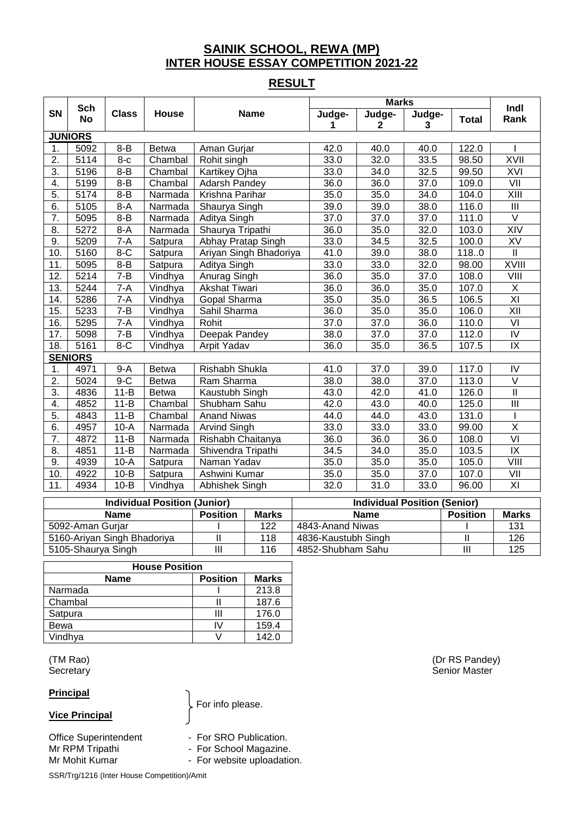## **SAINIK SCHOOL, REWA (MP) INTER HOUSE ESSAY COMPETITION 2021-22**

## **RESULT**

|                   | <b>Sch</b>     |              |              |                        | <b>Marks</b> |                        |                   | Indl         |                                   |
|-------------------|----------------|--------------|--------------|------------------------|--------------|------------------------|-------------------|--------------|-----------------------------------|
| <b>SN</b>         | <b>No</b>      | <b>Class</b> | House        | <b>Name</b>            | Judge-<br>1  | Judge-<br>$\mathbf{2}$ | Judge-<br>3       | <b>Total</b> | Rank                              |
|                   | <b>JUNIORS</b> |              |              |                        |              |                        |                   |              |                                   |
| $\mathbf 1$ .     | 5092           | $8 - B$      | <b>Betwa</b> | Aman Gurjar            | 42.0         | 40.0                   | 40.0              | 122.0        |                                   |
| 2.                | 5114           | $8-c$        | Chambal      | Rohit singh            | 33.0         | 32.0                   | 33.5              | 98.50        | <b>XVII</b>                       |
| 3.                | 5196           | $8 - B$      | Chambal      | Kartikey Ojha          | 33.0         | 34.0                   | 32.5              | 99.50        | XVI                               |
| 4.                | 5199           | $8 - B$      | Chambal      | Adarsh Pandey          | 36.0         | 36.0                   | 37.0              | 109.0        | VII                               |
| 5.                | 5174           | $8 - B$      | Narmada      | Krishna Parihar        | 35.0         | 35.0                   | 34.0              | 104.0        | $\overline{X}$ III                |
| $\overline{6}$    | 5105           | $8-A$        | Narmada      | Shaurya Singh          | 39.0         | 39.0                   | 38.0              | 116.0        | $\overline{\mathbb{H}}$           |
| 7.                | 5095           | $8 - B$      | Narmada      | Aditya Singh           | 37.0         | 37.0                   | 37.0              | 111.0        | $\overline{\vee}$                 |
| 8.                | 5272           | $8-A$        | Narmada      | Shaurya Tripathi       | 36.0         | 35.0                   | 32.0              | 103.0        | XIV                               |
| 9.                | 5209           | $7-A$        | Satpura      | Abhay Pratap Singh     | 33.0         | 34.5                   | 32.5              | 100.0        | XV                                |
| 10.               | 5160           | $8-C$        | Satpura      | Ariyan Singh Bhadoriya | 41.0         | 39.0                   | 38.0              | 118.0        | $\mathbf{II}$                     |
| 11.               | 5095           | $8 - B$      | Satpura      | Aditya Singh           | 33.0         | 33.0                   | $\overline{32.0}$ | 98.00        | <b>XVIII</b>                      |
| $\overline{12}$ . | 5214           | $7 - B$      | Vindhya      | Anurag Singh           | 36.0         | 35.0                   | 37.0              | 108.0        | VIII                              |
| 13.               | 5244           | $7-A$        | Vindhya      | <b>Akshat Tiwari</b>   | 36.0         | 36.0                   | 35.0              | 107.0        | $\overline{X}$                    |
| 14.               | 5286           | $7-A$        | Vindhya      | Gopal Sharma           | 35.0         | 35.0                   | 36.5              | 106.5        | $\overline{X}$                    |
| 15.               | 5233           | $7 - B$      | Vindhya      | Sahil Sharma           | 36.0         | 35.0                   | 35.0              | 106.0        | $\overline{X}$                    |
| 16.               | 5295           | $7-A$        | Vindhya      | Rohit                  | 37.0         | 37.0                   | 36.0              | 110.0        | $\overline{\mathsf{V}}$           |
| 17.               | 5098           | $7 - B$      | Vindhya      | Deepak Pandey          | 38.0         | 37.0                   | 37.0              | 112.0        | $\overline{N}$                    |
| 18.               | 5161           | $8-C$        | Vindhya      | Arpit Yadav            | 36.0         | 35.0                   | 36.5              | 107.5        | $\overline{\mathsf{X}}$           |
|                   | <b>SENIORS</b> |              |              |                        |              |                        |                   |              |                                   |
| 1.                | 4971           | $9-A$        | Betwa        | Rishabh Shukla         | 41.0         | 37.0                   | 39.0              | 117.0        | IV                                |
| 2.                | 5024           | $9-C$        | <b>Betwa</b> | Ram Sharma             | 38.0         | 38.0                   | 37.0              | 113.0        | $\overline{\vee}$                 |
| $\overline{3}$ .  | 4836           | $11 - B$     | <b>Betwa</b> | Kaustubh Singh         | 43.0         | 42.0                   | 41.0              | 126.0        | $\mathbf{I}$                      |
| 4.                | 4852           | $11 - B$     | Chambal      | Shubham Sahu           | 42.0         | 43.0                   | 40.0              | 125.0        | $\overline{\mathbb{H}}$           |
| 5.                | 4843           | $11 - B$     | Chambal      | <b>Anand Niwas</b>     | 44.0         | 44.0                   | 43.0              | 131.0        |                                   |
| $\overline{6}$ .  | 4957           | $10-A$       | Narmada      | <b>Arvind Singh</b>    | 33.0         | 33.0                   | 33.0              | 99.00        | $\overline{\mathsf{X}}$           |
| $\overline{7}$ .  | 4872           | $11 - B$     | Narmada      | Rishabh Chaitanya      | 36.0         | 36.0                   | 36.0              | 108.0        | $\overline{VI}$                   |
| 8.                | 4851           | $11 - B$     | Narmada      | Shivendra Tripathi     | 34.5         | 34.0                   | 35.0              | 103.5        | $\overline{\mathsf{I}\mathsf{X}}$ |
| 9.                | 4939           | $10-A$       | Satpura      | Naman Yadav            | 35.0         | 35.0                   | 35.0              | 105.0        | VIII                              |
| 10.               | 4922           | $10 - B$     | Satpura      | Ashwini Kumar          | 35.0         | 35.0                   | 37.0              | 107.0        |                                   |
| 11.               | 4934           | $10 - B$     | Vindhya      | Abhishek Singh         | 32.0         | 31.0                   | 33.0              | 96.00        | $\overline{X}$                    |

| <b>Individual Position (Junior)</b> |                 |              | <b>Individual Position (Senior)</b> |                 |              |  |
|-------------------------------------|-----------------|--------------|-------------------------------------|-----------------|--------------|--|
| <b>Name</b>                         | <b>Position</b> | <b>Marks</b> | <b>Name</b>                         | <b>Position</b> | <b>Marks</b> |  |
| 5092-Aman Gurjar                    |                 | 122          | 4843-Anand Niwas                    |                 | 131          |  |
| 5160-Ariyan Singh Bhadoriya         |                 | 118          | 4836-Kaustubh Singh                 |                 | 126          |  |
| 5105-Shaurya Singh                  | Ш               | 116          | 4852-Shubham Sahu                   |                 | 125          |  |

| <b>House Position</b>                          |    |       |  |  |  |  |  |
|------------------------------------------------|----|-------|--|--|--|--|--|
| <b>Marks</b><br><b>Position</b><br><b>Name</b> |    |       |  |  |  |  |  |
| Narmada                                        |    | 213.8 |  |  |  |  |  |
| Chambal                                        |    | 187.6 |  |  |  |  |  |
| Satpura                                        | Ш  | 176.0 |  |  |  |  |  |
| Bewa                                           | IV | 159.4 |  |  |  |  |  |
| Vindhya                                        |    | 142.0 |  |  |  |  |  |

#### **Principal**

### **Vice Principal**

For info please.

Office Superintendent - For SRO Publication.<br>
Mr RPM Tripathi - For School Magazine

- 
- Mr RPM Tripathi **Camerata Contract Contract For School Magazine.**
- Mr Mohit Kumar  **For website uploadation**.

SSR/Trg/1216 (Inter House Competition)/Amit

(TM Rao) (Dr RS Pandey) Secretary Secretary Secretary Senior Master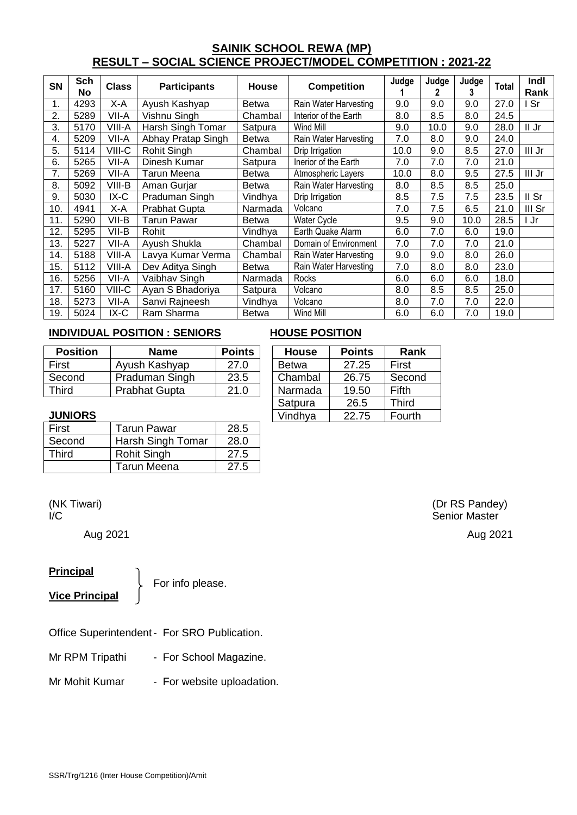## **SAINIK SCHOOL REWA (MP) RESULT – SOCIAL SCIENCE PROJECT/MODEL COMPETITION : 2021-22**

| <b>SN</b> | Sch<br><b>No</b> | <b>Class</b> | <b>Participants</b>  | <b>House</b> | <b>Competition</b>    | Judge | Judge<br>2 | Judge<br>3 | Total | <b>Indl</b><br>Rank |
|-----------|------------------|--------------|----------------------|--------------|-----------------------|-------|------------|------------|-------|---------------------|
| 1.        | 4293             | X-A          | Ayush Kashyap        | Betwa        | Rain Water Harvesting | 9.0   | 9.0        | 9.0        | 27.0  | Sr                  |
| 2.        | 5289             | VII-A        | Vishnu Singh         | Chambal      | Interior of the Earth | 8.0   | 8.5        | 8.0        | 24.5  |                     |
| 3.        | 5170             | VIII-A       | Harsh Singh Tomar    | Satpura      | Wind Mill             | 9.0   | 10.0       | 9.0        | 28.0  | II Jr               |
| 4.        | 5209             | VII-A        | Abhay Pratap Singh   | <b>Betwa</b> | Rain Water Harvesting | 7.0   | 8.0        | 9.0        | 24.0  |                     |
| 5.        | 5114             | VIII-C       | Rohit Singh          | Chambal      | Drip Irrigation       | 10.0  | 9.0        | 8.5        | 27.0  | III Jr              |
| 6.        | 5265             | VII-A        | Dinesh Kumar         | Satpura      | Inerior of the Earth  | 7.0   | 7.0        | 7.0        | 21.0  |                     |
| 7.        | 5269             | VII-A        | Tarun Meena          | Betwa        | Atmospheric Layers    | 10.0  | 8.0        | 9.5        | 27.5  | III Jr              |
| 8.        | 5092             | VIII-B       | Aman Gurjar          | Betwa        | Rain Water Harvesting | 8.0   | 8.5        | 8.5        | 25.0  |                     |
| 9.        | 5030             | $IX-C$       | Praduman Singh       | Vindhya      | Drip Irrigation       | 8.5   | 7.5        | 7.5        | 23.5  | II Sr               |
| 10.       | 4941             | X-A          | <b>Prabhat Gupta</b> | Narmada      | Volcano               | 7.0   | 7.5        | 6.5        | 21.0  | III Sr              |
| 11.       | 5290             | VII-B        | <b>Tarun Pawar</b>   | Betwa        | Water Cycle           | 9.5   | 9.0        | 10.0       | 28.5  | Jr                  |
| 12.       | 5295             | VII-B        | Rohit                | Vindhya      | Earth Quake Alarm     | 6.0   | 7.0        | 6.0        | 19.0  |                     |
| 13.       | 5227             | VII-A        | Ayush Shukla         | Chambal      | Domain of Environment | 7.0   | 7.0        | 7.0        | 21.0  |                     |
| 14.       | 5188             | VIII-A       | Lavya Kumar Verma    | Chambal      | Rain Water Harvesting | 9.0   | 9.0        | 8.0        | 26.0  |                     |
| 15.       | 5112             | VIII-A       | Dev Aditya Singh     | <b>Betwa</b> | Rain Water Harvesting | 7.0   | 8.0        | 8.0        | 23.0  |                     |
| 16.       | 5256             | VII-A        | Vaibhav Singh        | Narmada      | Rocks                 | 6.0   | 6.0        | 6.0        | 18.0  |                     |
| 17.       | 5160             | VIII-C       | Ayan S Bhadoriya     | Satpura      | Volcano               | 8.0   | 8.5        | 8.5        | 25.0  |                     |
| 18.       | 5273             | VII-A        | Sanvi Rajneesh       | Vindhya      | Volcano               | 8.0   | 7.0        | 7.0        | 22.0  |                     |
| 19.       | 5024             | IX-C         | Ram Sharma           | <b>Betwa</b> | Wind Mill             | 6.0   | 6.0        | 7.0        | 19.0  |                     |

#### **INDIVIDUAL POSITION : SENIORS HOUSE POSITION**

| <b>Position</b> | Name                 | <b>Points</b> | <b>House</b> | <b>Points</b> | Rank   |
|-----------------|----------------------|---------------|--------------|---------------|--------|
| First           | Ayush Kashyap        | 27.0          | Betwa        | 27.25         | First  |
| Second          | Praduman Singh       | 23.5          | Chambal      | 26.75         | Second |
| Third           | <b>Prabhat Gupta</b> | 21.0          | Narmada      | 19.50         | Fifth  |
|                 |                      |               |              |               |        |

| House        | <b>Points</b> | Rank         |
|--------------|---------------|--------------|
| <b>Betwa</b> | 27.25         | <b>First</b> |
| Chambal      | 26.75         | Second       |
| Narmada      | 19.50         | Fifth        |
| Satpura      | 26.5          | <b>Third</b> |
| Vindhya      | 22.75         | Fourth       |

#### **JUNIORS**

| First  | <b>Tarun Pawar</b> | 28.5 |
|--------|--------------------|------|
| Second | Harsh Singh Tomar  | 28.0 |
| Third  | Rohit Singh        | 27.5 |
|        | <b>Tarun Meena</b> | 27.5 |

#### **Principal**

**Vice Principal**

For info please.

Office Superintendent- For SRO Publication.

Mr RPM Tripathi - For School Magazine.

Mr Mohit Kumar - For website uploadation.

(NK Tiwari) (Dr RS Pandey) I/C **I/C** Senior Master

Aug 2021 Aug 2021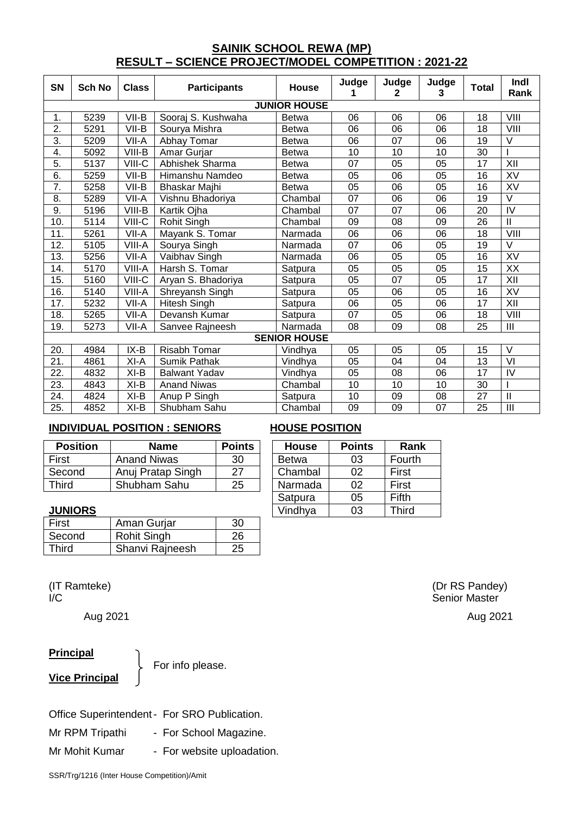## **SAINIK SCHOOL REWA (MP) RESULT – SCIENCE PROJECT/MODEL COMPETITION : 2021-22**

| SN               | <b>Sch No</b>       | <b>Class</b> | <b>Participants</b>  | House               | Judge | Judge<br>2 | Judge<br>3 | <b>Total</b>    | Indl<br>Rank                       |  |
|------------------|---------------------|--------------|----------------------|---------------------|-------|------------|------------|-----------------|------------------------------------|--|
|                  |                     |              |                      | <b>JUNIOR HOUSE</b> |       |            |            |                 |                                    |  |
| 1.               | 5239                | VII-B        | Sooraj S. Kushwaha   | <b>Betwa</b>        | 06    | 06         | 06         | 18              | VIII                               |  |
| $\overline{2}$ . | 5291                | VII-B        | Sourya Mishra        | <b>Betwa</b>        | 06    | 06         | 06         | 18              | VIII                               |  |
| 3.               | 5209                | VII-A        | Abhay Tomar          | <b>Betwa</b>        | 06    | 07         | 06         | 19              | V                                  |  |
| 4.               | 5092                | VIII-B       | Amar Gurjar          | <b>Betwa</b>        | 10    | 10         | 10         | 30              |                                    |  |
| 5.               | 5137                | VIII-C       | Abhishek Sharma      | Betwa               | 07    | 05         | 05         | 17              | XII                                |  |
| $\overline{6}$   |                     |              |                      |                     |       |            |            |                 |                                    |  |
|                  | 5259                | VII-B        | Himanshu Namdeo      | <b>Betwa</b>        | 05    | 06         | 05         | 16              | XV                                 |  |
| $\overline{7}$ . | 5258                | VII-B        | Bhaskar Majhi        | Betwa               | 05    | 06         | 05         | 16              | XV                                 |  |
| 8.               | 5289                | VII-A        | Vishnu Bhadoriya     | Chambal             | 07    | 06         | 06         | 19              | $\overline{\mathsf{v}}$            |  |
| 9.               | 5196                | VIII-B       | Kartik Ojha          | Chambal             | 07    | 07         | 06         | 20              | IV                                 |  |
| 10.              | 5114                | VIII-C       | Rohit Singh          | Chambal             | 09    | 08         | 09         | 26              | $\mathbf{I}$                       |  |
| 11.              | 5261                | VII-A        | Mayank S. Tomar      | Narmada             | 06    | 06         | 06         | 18              | VIII                               |  |
| 12.              | 5105                | VIII-A       | Sourya Singh         | Narmada             | 07    | 06         | 05         | 19              | V                                  |  |
| 13.              | 5256                | VII-A        | Vaibhav Singh        | Narmada             | 06    | 05         | 05         | 16              | XV                                 |  |
| 14.              | 5170                | VIII-A       | Harsh S. Tomar       | Satpura             | 05    | 05         | 05         | 15              | XX                                 |  |
| 15.              | 5160                | VIII-C       | Aryan S. Bhadoriya   | Satpura             | 05    | 07         | 05         | 17              | XII                                |  |
| 16.              | 5140                | VIII-A       | Shreyansh Singh      | Satpura             | 05    | 06         | 05         | 16              | XV                                 |  |
| 17.              | 5232                | VII-A        | <b>Hitesh Singh</b>  | Satpura             | 06    | 05         | 06         | 17              | XII                                |  |
| 18.              | 5265                | VII-A        | Devansh Kumar        | Satpura             | 07    | 05         | 06         | 18              | VIII                               |  |
| 19.              | 5273                | VII-A        | Sanvee Rajneesh      | Narmada             | 08    | 09         | 08         | 25              | III                                |  |
|                  | <b>SENIOR HOUSE</b> |              |                      |                     |       |            |            |                 |                                    |  |
| 20.              | 4984                | $IX-B$       | <b>Risabh Tomar</b>  | Vindhya             | 05    | 05         | 05         | 15              | V                                  |  |
| 21.              | 4861                | XI-A         | <b>Sumik Pathak</b>  | Vindhya             | 05    | 04         | 04         | 13              | VI                                 |  |
| 22.              | 4832                | $XI-B$       | <b>Balwant Yadav</b> | Vindhya             | 05    | 08         | 06         | $\overline{17}$ | $\overline{\overline{\mathsf{V}}}$ |  |
| 23.              | 4843                | $XI-B$       | <b>Anand Niwas</b>   | Chambal             | 10    | 10         | 10         | 30              |                                    |  |
| 24.              | 4824                | $XI-B$       | Anup P Singh         | Satpura             | 10    | 09         | 08         | 27              | $\mathbf{I}$                       |  |
| 25.              | 4852                | XI-B         | Shubham Sahu         | Chambal             | 09    | 09         | 07         | 25              | III                                |  |

## **INDIVIDUAL POSITION : SENIORS HOUSE POSITION**

| <b>Position</b> | Name               | <b>Points</b> | <b>House</b> | <b>Points</b> | Rank   |
|-----------------|--------------------|---------------|--------------|---------------|--------|
| First           | <b>Anand Niwas</b> | 30            | <b>Betwa</b> | 03            | Fourth |
| Second          | Anuj Pratap Singh  | 27            | Chambal      | 02            | First  |
| Third           | Shubham Sahu       | 25            | Narmada      | 02            | First  |
|                 |                    |               |              |               |        |

#### **JUNIORS**

| First  | Aman Gurjar        | 30 |
|--------|--------------------|----|
| Second | <b>Rohit Singh</b> | 26 |
| Third  | Shanvi Rajneesh    | 25 |

### **Principal**

**Vice Principal**

For info please.

| Office Superintendent - For SRO Publication. |                            |
|----------------------------------------------|----------------------------|
| Mr RPM Tripathi                              | - For School Magazine.     |
| Mr Mohit Kumar                               | - For website uploadation. |

| <b>House</b> | <b>Points</b> | Rank         |
|--------------|---------------|--------------|
| <b>Betwa</b> | 03            | Fourth       |
| Chambal      | 02            | First        |
| Narmada      | 02            | First        |
| Satpura      | 05            | Fifth        |
| Vindhya      | 03            | <b>Third</b> |

(IT Ramteke) (IT Ramteke) (IT Ramteke) (IT RS Pandey) Senior Master

Aug 2021 Aug 2021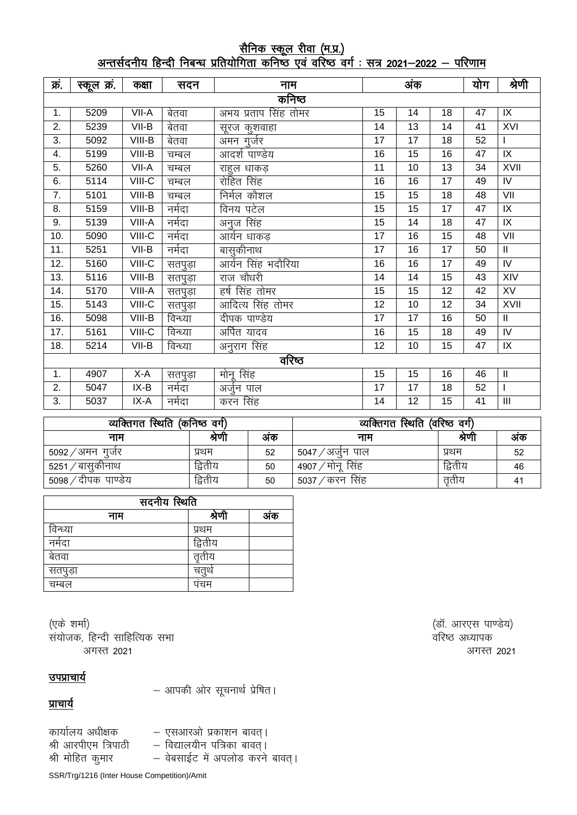## <u>सैनिक स्कूल रीवा (म.प्र.)</u> <u>अन्तर्सदनीय हिन्दी निबन्ध प्रतियोगिता कनिष्ठ एवं वरिष्ठ वर्ग : सत्र 2021—2022 — परिणाम</u>

| क्रं. | स्कूल क्रं. | कक्षा   | सदन      | नाम                  |                 | अंक             |                 | योग             | श्रेणी                     |
|-------|-------------|---------|----------|----------------------|-----------------|-----------------|-----------------|-----------------|----------------------------|
|       |             |         |          | कनिष्ठ               |                 |                 |                 |                 |                            |
| 1.    | 5209        | VII-A   | बेतवा    | अभय प्रताप सिंह तोमर | 15              | 14              | 18              | 47              | IX                         |
| 2.    | 5239        | $VII-B$ | बेतवा    | सूरज कुशवाहा         | 14              | $\overline{13}$ | 14              | 41              | <b>XVI</b>                 |
| 3.    | 5092        | VIII-B  | बेतवा    | अमन गुर्जर           | 17              | 17              | 18              | 52              | $\mathbf{I}$               |
| 4.    | 5199        | VIII-B  | चम्बल    | आदर्श पाण्डेय        | 16              | $\overline{15}$ | 16              | 47              | $\overline{X}$             |
| 5.    | 5260        | VII-A   | चम्बल    | राहुल धाकड़          | 11              | 10              | 13              | 34              | <b>XVII</b>                |
| 6.    | 5114        | VIII-C  | चम्बल    | रोहित सिंह           | 16              | 16              | 17              | 49              | IV                         |
| 7.    | 5101        | VIII-B  | चम्बल    | निर्मल कौशल          | 15              | 15              | 18              | 48              | $\overline{\mathsf{V}}$    |
| 8.    | 5159        | VIII-B  | नर्मदा   | विनय पटेल            | $\overline{15}$ | $\overline{15}$ | $\overline{17}$ | $\overline{47}$ | $\overline{1}$             |
| 9.    | 5139        | VIII-A  | नर्मदा   | अनुज सिंह            | 15              | 14              | 18              | 47              | $\overline{1}X$            |
| 10.   | 5090        | VIII-C  | नर्मदा   | आर्यन धाकड           | 17              | 16              | 15              | 48              | VII                        |
| 11.   | 5251        | $VII-B$ | नर्मदा   | बासुकीनाथ            | 17              | 16              | 17              | 50              | $\mathbf{II}$              |
| 12.   | 5160        | VIII-C  | सतपुड़ा  | आर्यन सिंह भदौरिया   | 16              | 16              | 17              | 49              | $\overline{N}$             |
| 13.   | 5116        | VIII-B  | सतपुड़ा  | राज चौधरी            | 14              | 14              | 15              | 43              | XIV                        |
| 14.   | 5170        | VIII-A  | सतपुड़ा  | हर्ष सिंह तोमर       | 15              | 15              | 12              | 42              | <b>XV</b>                  |
| 15.   | 5143        | VIII-C  | सतपुड़ा  | आदित्य सिंह तोमर     | 12              | 10              | 12              | 34              | XVII                       |
| 16.   | 5098        | VIII-B  | विन्ध्या | दीपक पाण्डेय         | 17              | 17              | 16              | 50              | $\ensuremath{\mathsf{II}}$ |
| 17.   | 5161        | VIII-C  | विन्ध्या | अर्पित यादव          | 16              | 15              | 18              | 49              | IV                         |
| 18.   | 5214        | $VII-B$ | विन्ध्या | अनुराग सिंह          | 12              | 10              | 15              | 47              | IX                         |
|       | वरिष्ठ      |         |          |                      |                 |                 |                 |                 |                            |
| 1.    | 4907        | $X-A$   | सतपुड़ा  | मोनू सिंह            | 15              | 15              | 16              | 46              | $\mathbf{II}$              |
| 2.    | 5047        | $IX-B$  | नर्मदा   | अर्जुन पाल           | 17              | $\overline{17}$ | 18              | 52              | $\mathbf{I}$               |
| 3.    | 5037        | $IX-A$  | नर्मदा   | करन सिंह             | 14              | $\overline{12}$ | $\overline{15}$ | $\overline{41}$ | $\mathbf{III}$             |

| व्यक्तिगत स्थिति (कनिष्ठ वर्ग) |         | व्यक्तिगत स्थिति (वरिष्ठ वर्ग) |                     |         |    |
|--------------------------------|---------|--------------------------------|---------------------|---------|----|
| नाम                            | श्रेणी  | अक                             | नाम                 | श्रेणी  | अक |
| ′अमन गुजेर<br>5092             | प्रथम   | 52                             | ∵⁄ अजेन पाल<br>5047 | प्रथम   | 52 |
| 5251<br>'बासकोनाथ              | द्वितीय | 50                             | सिंह<br>मोन<br>4907 | द्वितीय | 46 |
| ′दीपक पाण्डेय<br>5098/         | द्वितीय | 50                             | ′करन सिंह<br>5037/  | ततीय    | 41 |

| सदनीय स्थिति |         |     |  |  |  |  |
|--------------|---------|-----|--|--|--|--|
| नाम          | श्रणा   | अंक |  |  |  |  |
| विन्ध्या     | प्रथम   |     |  |  |  |  |
| नर्मदा       | द्वितीय |     |  |  |  |  |
| बेतवा        | ततीय    |     |  |  |  |  |
| सतपुड़ा      |         |     |  |  |  |  |
| चम्बल        | पचम     |     |  |  |  |  |

(एके शर्मा) त्र संस्कृति । अस्य संस्कृति । अस्य संस्कृति । अस्य संस्कृति । अस्य संस्कृति । अस्य संस्कृति । अस् संयोजक, हिन्दी साहित्यिक सभा सामा का सामा करते हैं। संस्कृतिक अध्यापक वरिष्ठ अध्यापक अगस्त २०२१ असे प्रथम करते हैं। अन्य प्राप्त करते हैं कि अपनी प्राप्त करते हैं अपनी प्राप्त करते हैं। अन्य प्रा

<u>उपप्राचार्य</u>

 $-$  आपकी ओर सूचनार्थ प्रेषित।

प्राचार्य

कार्यालय अधीक्षक — एसआरओ प्रकाशन बावत् । श्री आरपीएम त्रिपाठी — विद्यालयीन पत्रिका बावत्। श्री मोहित कुमार – वेबसाईट में अपलोड करने बावत्।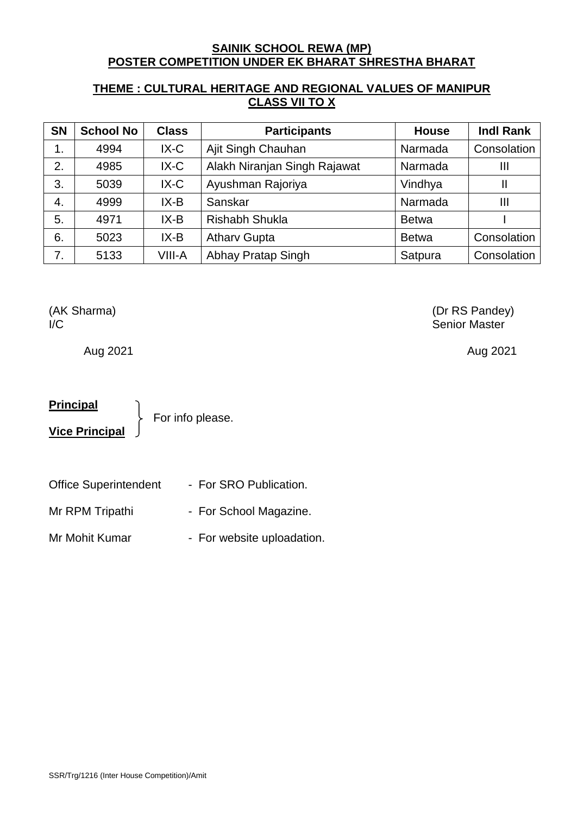## **SAINIK SCHOOL REWA (MP) POSTER COMPETITION UNDER EK BHARAT SHRESTHA BHARAT**

## **THEME : CULTURAL HERITAGE AND REGIONAL VALUES OF MANIPUR CLASS VII TO X**

| <b>SN</b> | <b>School No</b> | <b>Class</b> | <b>Participants</b>          | <b>House</b> | <b>Indl Rank</b> |
|-----------|------------------|--------------|------------------------------|--------------|------------------|
| 1.        | 4994             | $IX-C$       | Ajit Singh Chauhan           | Narmada      | Consolation      |
| 2.        | 4985             | $IX-C$       | Alakh Niranjan Singh Rajawat | Narmada      | Ш                |
| 3.        | 5039             | $IX-C$       | Ayushman Rajoriya            | Vindhya      | Ш                |
| 4.        | 4999             | $IX-B$       | Sanskar                      | Narmada      | Ш                |
| 5.        | 4971             | $IX-B$       | <b>Rishabh Shukla</b>        | <b>Betwa</b> |                  |
| 6.        | 5023             | $IX-B$       | <b>Atharv Gupta</b>          | <b>Betwa</b> | Consolation      |
| 7.        | 5133             | VIII-A       | Abhay Pratap Singh           | Satpura      | Consolation      |

Aug 2021 Aug 2021

## **Principal**

**Vice Principal**

For info please.

- Office Superintendent For SRO Publication.
- Mr RPM Tripathi For School Magazine.
- Mr Mohit Kumar For website uploadation.

(AK Sharma) (Dr RS Pandey) I/C Senior Master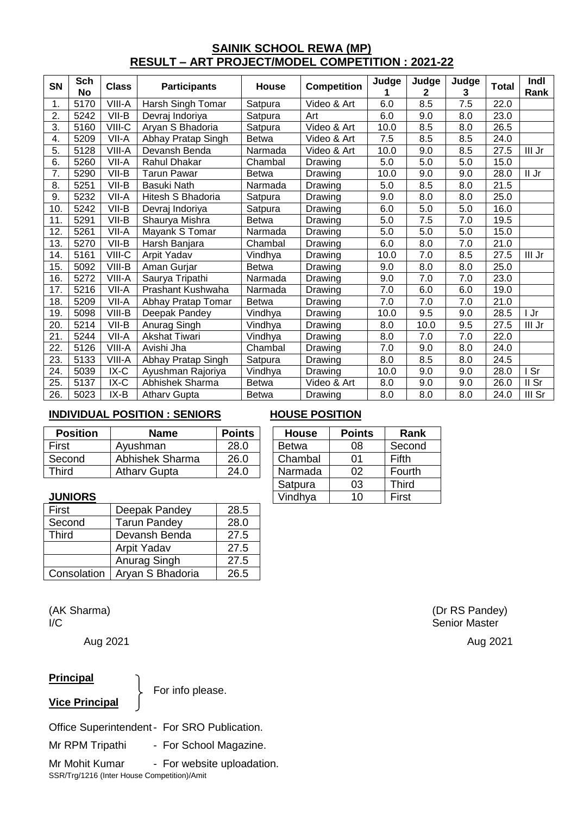## **SAINIK SCHOOL REWA (MP) RESULT – ART PROJECT/MODEL COMPETITION : 2021-22**

| <b>SN</b> | Sch<br>No | <b>Class</b> | <b>Participants</b> | House        | <b>Competition</b> | Judge | Judge<br>2 | Judge<br>3       | <b>Total</b> | Indl<br>Rank |
|-----------|-----------|--------------|---------------------|--------------|--------------------|-------|------------|------------------|--------------|--------------|
| 1.        | 5170      | VIII-A       | Harsh Singh Tomar   | Satpura      | Video & Art        | 6.0   | 8.5        | 7.5              | 22.0         |              |
| 2.        | 5242      | VII-B        | Devraj Indoriya     | Satpura      | Art                | 6.0   | 9.0        | 8.0              | 23.0         |              |
| 3.        | 5160      | VIII-C       | Aryan S Bhadoria    | Satpura      | Video & Art        | 10.0  | 8.5        | 8.0              | 26.5         |              |
| 4.        | 5209      | VII-A        | Abhay Pratap Singh  | <b>Betwa</b> | Video & Art        | 7.5   | 8.5        | 8.5              | 24.0         |              |
| 5.        | 5128      | VIII-A       | Devansh Benda       | Narmada      | Video & Art        | 10.0  | 9.0        | 8.5              | 27.5         | III Jr       |
| 6.        | 5260      | VII-A        | <b>Rahul Dhakar</b> | Chambal      | Drawing            | 5.0   | 5.0        | 5.0              | 15.0         |              |
| 7.        | 5290      | VII-B        | <b>Tarun Pawar</b>  | <b>Betwa</b> | Drawing            | 10.0  | 9.0        | 9.0              | 28.0         | II Jr        |
| 8.        | 5251      | VII-B        | Basuki Nath         | Narmada      | Drawing            | 5.0   | 8.5        | 8.0              | 21.5         |              |
| 9.        | 5232      | VII-A        | Hitesh S Bhadoria   | Satpura      | Drawing            | 9.0   | 8.0        | 8.0              | 25.0         |              |
| 10.       | 5242      | VII-B        | Devraj Indoriya     | Satpura      | Drawing            | 6.0   | 5.0        | 5.0              | 16.0         |              |
| 11.       | 5291      | VII-B        | Shaurya Mishra      | <b>Betwa</b> | Drawing            | 5.0   | 7.5        | $\overline{7.0}$ | 19.5         |              |
| 12.       | 5261      | VII-A        | Mayank S Tomar      | Narmada      | Drawing            | 5.0   | 5.0        | 5.0              | 15.0         |              |
| 13.       | 5270      | VII-B        | Harsh Banjara       | Chambal      | Drawing            | 6.0   | 8.0        | 7.0              | 21.0         |              |
| 14.       | 5161      | VIII-C       | Arpit Yadav         | Vindhya      | Drawing            | 10.0  | 7.0        | 8.5              | 27.5         | III Jr       |
| 15.       | 5092      | VIII-B       | Aman Gurjar         | <b>Betwa</b> | Drawing            | 9.0   | 8.0        | 8.0              | 25.0         |              |
| 16.       | 5272      | VIII-A       | Saurya Tripathi     | Narmada      | Drawing            | 9.0   | 7.0        | 7.0              | 23.0         |              |
| 17.       | 5216      | VII-A        | Prashant Kushwaha   | Narmada      | Drawing            | 7.0   | 6.0        | 6.0              | 19.0         |              |
| 18.       | 5209      | VII-A        | Abhay Pratap Tomar  | <b>Betwa</b> | Drawing            | 7.0   | 7.0        | 7.0              | 21.0         |              |
| 19.       | 5098      | VIII-B       | Deepak Pandey       | Vindhya      | Drawing            | 10.0  | 9.5        | 9.0              | 28.5         | I Jr         |
| 20.       | 5214      | VII-B        | Anurag Singh        | Vindhya      | Drawing            | 8.0   | 10.0       | 9.5              | 27.5         | III Jr       |
| 21.       | 5244      | VII-A        | Akshat Tiwari       | Vindhya      | Drawing            | 8.0   | 7.0        | 7.0              | 22.0         |              |
| 22.       | 5126      | VIII-A       | Avishi Jha          | Chambal      | Drawing            | 7.0   | 9.0        | 8.0              | 24.0         |              |
| 23.       | 5133      | VIII-A       | Abhay Pratap Singh  | Satpura      | Drawing            | 8.0   | 8.5        | 8.0              | 24.5         |              |
| 24.       | 5039      | $IX-C$       | Ayushman Rajoriya   | Vindhya      | Drawing            | 10.0  | 9.0        | 9.0              | 28.0         | I Sr         |
| 25.       | 5137      | $IX-C$       | Abhishek Sharma     | <b>Betwa</b> | Video & Art        | 8.0   | 9.0        | 9.0              | 26.0         | II Sr        |
| 26.       | 5023      | IX-B         | <b>Atharv Gupta</b> | <b>Betwa</b> | Drawing            | 8.0   | 8.0        | 8.0              | 24.0         | III Sr       |

## **INDIVIDUAL POSITION : SENIORS HOUSE POSITION**

| <b>Position</b> | Name                | <b>Points</b> | <b>House</b> | <b>Points</b> | Rank   |
|-----------------|---------------------|---------------|--------------|---------------|--------|
| First           | Ayushman            | 28.0          | <b>Betwa</b> | 08            | Second |
| Second          | Abhishek Sharma     | 26.0          | Chambal      | በ1            | Fifth  |
| Third           | <b>Athary Gupta</b> | 24.0          | Narmada      | 02            | Fourth |
|                 |                     |               |              |               |        |

| <b>House</b> | <b>Points</b>  | Rank         |
|--------------|----------------|--------------|
| <b>Betwa</b> | 08             | Second       |
| Chambal      | 01             | Fifth        |
| Narmada      | 02             | Fourth       |
| Satpura      | 03             | <b>Third</b> |
| Vindhya      | 1 <sub>0</sub> | <b>First</b> |

#### **JUNIORS**

| First        | Deepak Pandey       | 28.5 |
|--------------|---------------------|------|
| Second       | <b>Tarun Pandey</b> | 28.0 |
| <b>Third</b> | Devansh Benda       | 27.5 |
|              | Arpit Yadav         | 27.5 |
|              | Anurag Singh        | 27.5 |
| Consolation  | Aryan S Bhadoria    | 26.5 |

Aug 2021 Aug 2021

## **Principal**

**Vice Principal**

For info please.

Office Superintendent- For SRO Publication.

Mr RPM Tripathi - For School Magazine.

SSR/Trg/1216 (Inter House Competition)/Amit Mr Mohit Kumar - For website uploadation.

(AK Sharma) (Dr RS Pandey) I/C Senior Master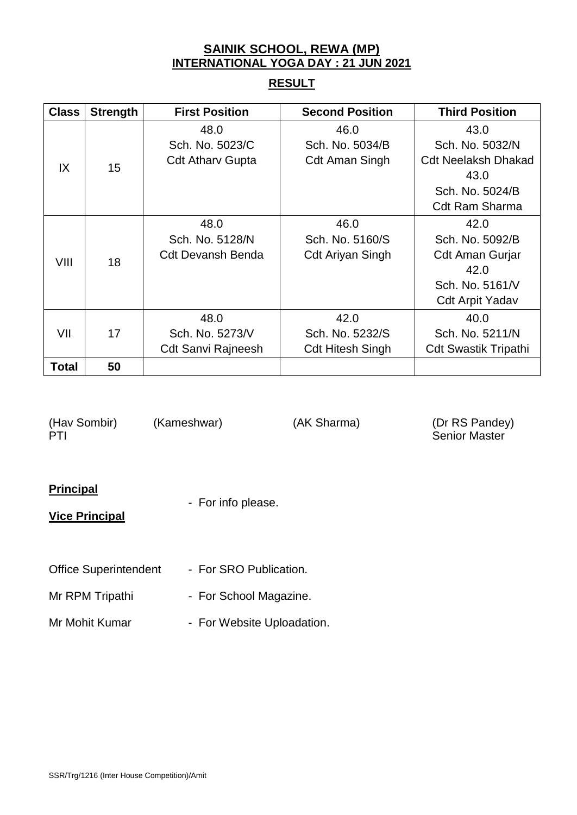## **SAINIK SCHOOL, REWA (MP) INTERNATIONAL YOGA DAY : 21 JUN 2021**

## **RESULT**

| <b>Class</b> | <b>Strength</b> | <b>First Position</b>     | <b>Second Position</b>  | <b>Third Position</b>       |
|--------------|-----------------|---------------------------|-------------------------|-----------------------------|
|              |                 | 48.0                      | 46.0                    | 43.0                        |
|              |                 | Sch. No. 5023/C           | Sch. No. 5034/B         | Sch. No. 5032/N             |
| IX           | 15              | <b>Cdt Athary Gupta</b>   | <b>Cdt Aman Singh</b>   | <b>Cdt Neelaksh Dhakad</b>  |
|              |                 |                           |                         | 43.0                        |
|              |                 |                           |                         | Sch. No. 5024/B             |
|              |                 |                           |                         | <b>Cdt Ram Sharma</b>       |
|              |                 | 48.0                      | 46.0                    | 42.0                        |
|              |                 | Sch. No. 5128/N           | Sch. No. 5160/S         | Sch. No. 5092/B             |
| VIII         | 18              | <b>Cdt Devansh Benda</b>  | <b>Cdt Ariyan Singh</b> | Cdt Aman Gurjar             |
|              |                 |                           |                         | 42.0                        |
|              |                 |                           |                         | Sch. No. 5161/V             |
|              |                 |                           |                         | <b>Cdt Arpit Yadav</b>      |
|              |                 | 48.0                      | 42.0                    | 40.0                        |
| VII          | 17              | Sch. No. 5273/V           | Sch. No. 5232/S         | Sch. No. 5211/N             |
|              |                 | <b>Cdt Sanvi Rajneesh</b> | <b>Cdt Hitesh Singh</b> | <b>Cdt Swastik Tripathi</b> |
| <b>Total</b> | 50              |                           |                         |                             |

PTI Senior Master

(Hav Sombir) (Kameshwar) (AK Sharma) (Dr RS Pandey)

## **Principal**

- For info please.

## **Vice Principal**

- Office Superintendent For SRO Publication.
- Mr RPM Tripathi For School Magazine.
- Mr Mohit Kumar For Website Uploadation.